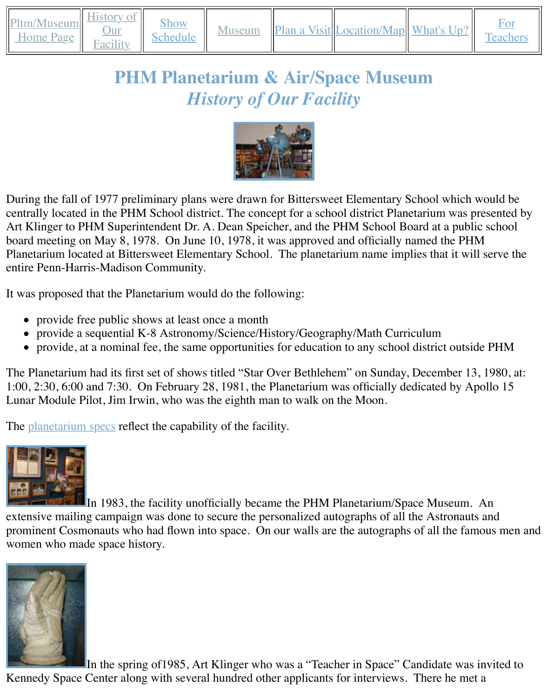#### *History of Our Facility*



During the fall of 1977 preliminary plans were drawn for Bittersweet Elementary School which centrally located in the PHM School district. The concept for a school district Planetarium was Art Klinger to PHM Superintendent Dr. A. De[an Speicher, and](http://old.transitofvenus.org/phm/proj.jpg) the PHM School Board at a pu board meeting on May 8, 1978. On June 10, 1978, it was approved and officially named the P Planetarium located at Bittersweet Elementary School. The planetarium name implies that it v entire Penn-Harris-Madison Community.

It was proposed that the Planetarium would do the following:

- provide free public shows at least once a month
- provide a sequential K-8 Astronomy/Science/History/Geography/Math Curriculum
- provide, at a nominal fee, the same opportunities for education to any school district out

The Planetarium had its first set of shows titled "Star Over Bethlehem" on Sunday, December 1:00, 2:30, 6:00 and 7:30. On February 28, 1981, the Planetarium was officially dedicated by Lunar Module Pilot, Jim Irwin, who was the eighth man to walk on the Moon.

The <u>planetarium specs</u> reflect the capability of the facility.



In 1983, the facility unofficially became the PHM Planetarium/Space Museun exte[nsive mailing camp](http://old.transitofvenus.org/phm/pltm_specs.htm)aign was done to secure the personalized autographs of all the Astrona prominent Cosmonauts who had flown into space. On our walls are the autographs of all the f [women who mad](http://old.transitofvenus.org/phm/armgroup.jpg)e space history.



In the spring of 1985, Art Klinger who was a "Teacher in Space" Candidate was [Kennedy Space C](http://old.transitofvenus.org/phm/glove3.jpg)enter along with several hundred other applicants for interviews. There he n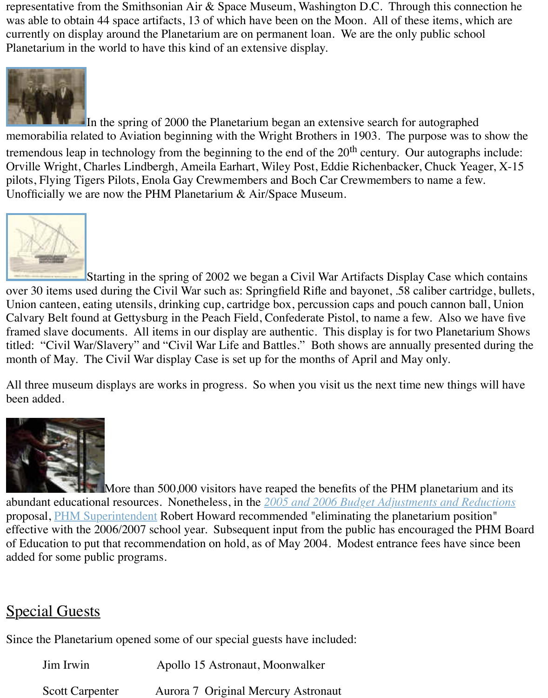

In the spring of 2000 the Planetarium began an extensive search for autograph memorabilia related to Aviation beginning with the Wright Brothers in 1903. The purpose was tremendous leap in technology from the beginning to the end of the  $20<sup>th</sup>$  century. Our autographs included: Orville Wright, Charles Lindbergh, Ameila Earhart, Wiley Post, Eddie Richenbacker, Chuck Y [pilots, Flying Tig](http://old.transitofvenus.org/phm/lindysig.jpg)ers Pilots, Enola Gay Crewmembers and Boch Car Crewmembers to name a Unofficially we are now the PHM Planetarium & Air/Space Museum.



Starting in the spring of 2002 we began a Civil War Artifacts Display Case which contains a Civil War Artifacts Display Case which contains a Starting of 2002 we began a Civil War Artifacts Display Case which contains a St over 30 items used during the Civil War such as: Springfield Rifle and bayonet, .58 caliber car Union canteen, eating utensils, drinking cup, cartridge box, percussion caps and pouch cannon [Calvary Belt fou](http://old.transitofvenus.org/phm/slaveship.jpg)nd at Gettysburg in the Peach Field, Confederate Pistol, to name a few. Also framed slave documents. All items in our display are authentic. This display is for two Planet titled: "Civil War/Slavery" and "Civil War Life and Battles." Both shows are annually present month of May. The Civil War display Case is set up for the months of April and May only.

All three museum displays are works in progress. So when you visit us the next time new thin been added.



More than 500,000 visitors have reaped the benefits of the PHM planetarium abundant educational resources. Nonetheless, in the **2005 and 2006 Budget Adjustments and Reductions** proposal, PHM Superintendent Robert Howard recommended "eliminating the planetarium po effective with the 2006/2007 school year. Subsequent input from the public has encouraged the of Education to put that recommendation on hold, as of May 2004. Modest entrance fees have added for some public programs.

# Special [Guests](mailto://superintendent@phm.k12.in.us)

Since the Planetarium opened some of our special guests have included:

| Jim Irwin              | Apollo 15 Astronaut, Moonwalker     |
|------------------------|-------------------------------------|
| <b>Scott Carpenter</b> | Aurora 7 Original Mercury Astronaut |